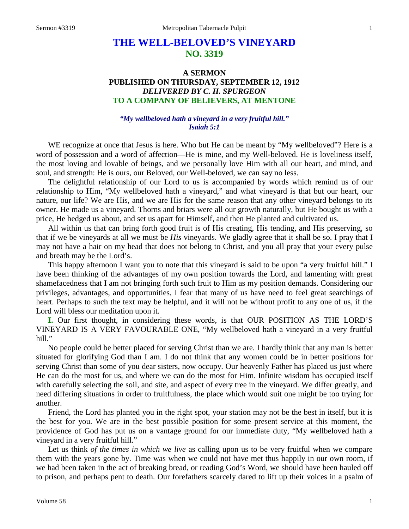# **THE WELL-BELOVED'S VINEYARD NO. 3319**

## **A SERMON PUBLISHED ON THURSDAY, SEPTEMBER 12, 1912** *DELIVERED BY C. H. SPURGEON* **TO A COMPANY OF BELIEVERS, AT MENTONE**

### *"My wellbeloved hath a vineyard in a very fruitful hill." Isaiah 5:1*

WE recognize at once that Jesus is here. Who but He can be meant by "My wellbeloved"? Here is a word of possession and a word of affection—He is mine, and my Well-beloved. He is loveliness itself, the most loving and lovable of beings, and we personally love Him with all our heart, and mind, and soul, and strength: He is ours, our Beloved, our Well-beloved, we can say no less.

The delightful relationship of our Lord to us is accompanied by words which remind us of our relationship to Him, "My wellbeloved hath a vineyard," and what vineyard is that but our heart, our nature, our life? We are His, and we are His for the same reason that any other vineyard belongs to its owner. He made us a vineyard. Thorns and briars were all our growth naturally, but He bought us with a price, He hedged us about, and set us apart for Himself, and then He planted and cultivated us.

All within us that can bring forth good fruit is of His creating, His tending, and His preserving, so that if we be vineyards at all we must be *His* vineyards. We gladly agree that it shall be so. I pray that I may not have a hair on my head that does not belong to Christ, and you all pray that your every pulse and breath may be the Lord's.

This happy afternoon I want you to note that this vineyard is said to be upon "a very fruitful hill." I have been thinking of the advantages of my own position towards the Lord, and lamenting with great shamefacedness that I am not bringing forth such fruit to Him as my position demands. Considering our privileges, advantages, and opportunities, I fear that many of us have need to feel great searchings of heart. Perhaps to such the text may be helpful, and it will not be without profit to any one of us, if the Lord will bless our meditation upon it.

**I.** Our first thought, in considering these words, is that OUR POSITION AS THE LORD'S VINEYARD IS A VERY FAVOURABLE ONE, "My wellbeloved hath a vineyard in a very fruitful hill."

No people could be better placed for serving Christ than we are. I hardly think that any man is better situated for glorifying God than I am. I do not think that any women could be in better positions for serving Christ than some of you dear sisters, now occupy. Our heavenly Father has placed us just where He can do the most for us, and where we can do the most for Him. Infinite wisdom has occupied itself with carefully selecting the soil, and site, and aspect of every tree in the vineyard. We differ greatly, and need differing situations in order to fruitfulness, the place which would suit one might be too trying for another.

Friend, the Lord has planted you in the right spot, your station may not be the best in itself, but it is the best for you. We are in the best possible position for some present service at this moment, the providence of God has put us on a vantage ground for our immediate duty, "My wellbeloved hath a vineyard in a very fruitful hill."

Let us think *of the times in which we live* as calling upon us to be very fruitful when we compare them with the years gone by. Time was when we could not have met thus happily in our own room, if we had been taken in the act of breaking bread, or reading God's Word, we should have been hauled off to prison, and perhaps pent to death. Our forefathers scarcely dared to lift up their voices in a psalm of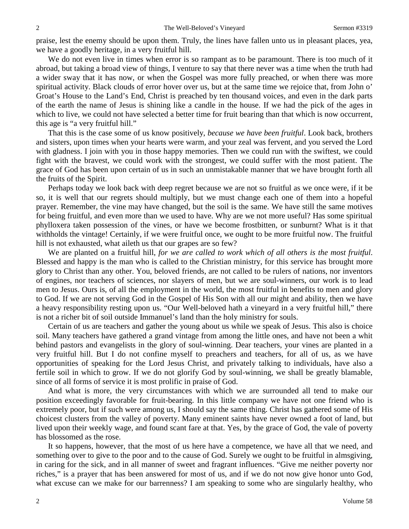praise, lest the enemy should be upon them. Truly, the lines have fallen unto us in pleasant places, yea, we have a goodly heritage, in a very fruitful hill.

We do not even live in times when error is so rampant as to be paramount. There is too much of it abroad, but taking a broad view of things, I venture to say that there never was a time when the truth had a wider sway that it has now, or when the Gospel was more fully preached, or when there was more spiritual activity. Black clouds of error hover over us, but at the same time we rejoice that, from John o' Groat's House to the Land's End, Christ is preached by ten thousand voices, and even in the dark parts of the earth the name of Jesus is shining like a candle in the house. If we had the pick of the ages in which to live, we could not have selected a better time for fruit bearing than that which is now occurrent, this age is "a very fruitful hill."

That this is the case some of us know positively, *because we have been fruitful*. Look back, brothers and sisters, upon times when your hearts were warm, and your zeal was fervent, and you served the Lord with gladness. I join with you in those happy memories. Then we could run with the swiftest, we could fight with the bravest, we could work with the strongest, we could suffer with the most patient. The grace of God has been upon certain of us in such an unmistakable manner that we have brought forth all the fruits of the Spirit.

Perhaps today we look back with deep regret because we are not so fruitful as we once were, if it be so, it is well that our regrets should multiply, but we must change each one of them into a hopeful prayer. Remember, the vine may have changed, but the soil is the same. We have still the same motives for being fruitful, and even more than we used to have. Why are we not more useful? Has some spiritual phylloxera taken possession of the vines, or have we become frostbitten, or sunburnt? What is it that withholds the vintage! Certainly, if we were fruitful once, we ought to be more fruitful now. The fruitful hill is not exhausted, what aileth us that our grapes are so few?

We are planted on a fruitful hill, *for we are called to work which of all others is the most fruitful*. Blessed and happy is the man who is called to the Christian ministry, for this service has brought more glory to Christ than any other. You, beloved friends, are not called to be rulers of nations, nor inventors of engines, nor teachers of sciences, nor slayers of men, but we are soul-winners, our work is to lead men to Jesus. Ours is, of all the employment in the world, the most fruitful in benefits to men and glory to God. If we are not serving God in the Gospel of His Son with all our might and ability, then we have a heavy responsibility resting upon us. "Our Well-beloved hath a vineyard in a very fruitful hill," there is not a richer bit of soil outside Immanuel's land than the holy ministry for souls.

Certain of us are teachers and gather the young about us while we speak of Jesus. This also is choice soil. Many teachers have gathered a grand vintage from among the little ones, and have not been a whit behind pastors and evangelists in the glory of soul-winning. Dear teachers, your vines are planted in a very fruitful hill. But I do not confine myself to preachers and teachers, for all of us, as we have opportunities of speaking for the Lord Jesus Christ, and privately talking to individuals, have also a fertile soil in which to grow. If we do not glorify God by soul-winning, we shall be greatly blamable, since of all forms of service it is most prolific in praise of God.

And what is more, the very circumstances with which we are surrounded all tend to make our position exceedingly favorable for fruit-bearing. In this little company we have not one friend who is extremely poor, but if such were among us, I should say the same thing. Christ has gathered some of His choicest clusters from the valley of poverty. Many eminent saints have never owned a foot of land, but lived upon their weekly wage, and found scant fare at that. Yes, by the grace of God, the vale of poverty has blossomed as the rose.

It so happens, however, that the most of us here have a competence, we have all that we need, and something over to give to the poor and to the cause of God. Surely we ought to be fruitful in almsgiving, in caring for the sick, and in all manner of sweet and fragrant influences. "Give me neither poverty nor riches," is a prayer that has been answered for most of us, and if we do not now give honor unto God, what excuse can we make for our barrenness? I am speaking to some who are singularly healthy, who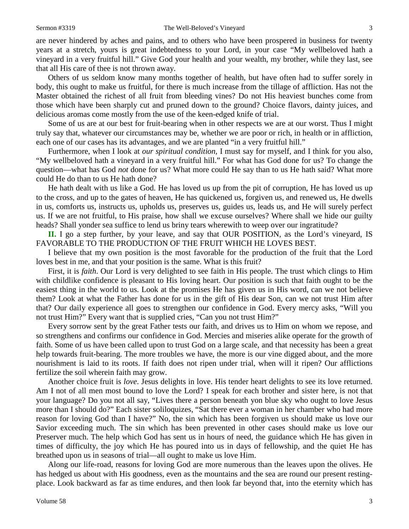are never hindered by aches and pains, and to others who have been prospered in business for twenty years at a stretch, yours is great indebtedness to your Lord, in your case "My wellbeloved hath a vineyard in a very fruitful hill." Give God your health and your wealth, my brother, while they last, see that all His care of thee is not thrown away.

Others of us seldom know many months together of health, but have often had to suffer sorely in body, this ought to make us fruitful, for there is much increase from the tillage of affliction. Has not the Master obtained the richest of all fruit from bleeding vines? Do not His heaviest bunches come from those which have been sharply cut and pruned down to the ground? Choice flavors, dainty juices, and delicious aromas come mostly from the use of the keen-edged knife of trial.

Some of us are at our best for fruit-bearing when in other respects we are at our worst. Thus I might truly say that, whatever our circumstances may be, whether we are poor or rich, in health or in affliction, each one of our cases has its advantages, and we are planted "in a very fruitful hill."

Furthermore, when I look at *our spiritual condition,* I must say for myself, and I think for you also, "My wellbeloved hath a vineyard in a very fruitful hill." For what has God done for us? To change the question—what has God *not* done for us? What more could He say than to us He hath said? What more could He do than to us He hath done?

He hath dealt with us like a God. He has loved us up from the pit of corruption, He has loved us up to the cross, and up to the gates of heaven, He has quickened us, forgiven us, and renewed us, He dwells in us, comforts us, instructs us, upholds us, preserves us, guides us, leads us, and He will surely perfect us. If we are not fruitful, to His praise, how shall we excuse ourselves? Where shall we hide our guilty heads? Shall yonder sea suffice to lend us briny tears wherewith to weep over our ingratitude?

**II.** I go a step further, by your leave, and say that OUR POSITION, as the Lord's vineyard, IS FAVORABLE TO THE PRODUCTION OF THE FRUIT WHICH HE LOVES BEST.

I believe that my own position is the most favorable for the production of the fruit that the Lord loves best in me, and that your position is the same. What is this fruit?

First, it is *faith*. Our Lord is very delighted to see faith in His people. The trust which clings to Him with childlike confidence is pleasant to His loving heart. Our position is such that faith ought to be the easiest thing in the world to us. Look at the promises He has given us in His word, can we not believe them? Look at what the Father has done for us in the gift of His dear Son, can we not trust Him after that? Our daily experience all goes to strengthen our confidence in God. Every mercy asks, "Will you not trust Him?" Every want that is supplied cries, "Can you not trust Him?"

Every sorrow sent by the great Father tests our faith, and drives us to Him on whom we repose, and so strengthens and confirms our confidence in God. Mercies and miseries alike operate for the growth of faith. Some of us have been called upon to trust God on a large scale, and that necessity has been a great help towards fruit-bearing. The more troubles we have, the more is our vine digged about, and the more nourishment is laid to its roots. If faith does not ripen under trial, when will it ripen? Our afflictions fertilize the soil wherein faith may grow.

Another choice fruit is *love*. Jesus delights in love. His tender heart delights to see its love returned. Am I not of all men most bound to love the Lord? I speak for each brother and sister here, is not that your language? Do you not all say, "Lives there a person beneath yon blue sky who ought to love Jesus more than I should do?" Each sister soliloquizes, "Sat there ever a woman in her chamber who had more reason for loving God than I have?" No, the sin which has been forgiven us should make us love our Savior exceeding much. The sin which has been prevented in other cases should make us love our Preserver much. The help which God has sent us in hours of need, the guidance which He has given in times of difficulty, the joy which He has poured into us in days of fellowship, and the quiet He has breathed upon us in seasons of trial—all ought to make us love Him.

Along our life-road, reasons for loving God are more numerous than the leaves upon the olives. He has hedged us about with His goodness, even as the mountains and the sea are round our present restingplace. Look backward as far as time endures, and then look far beyond that, into the eternity which has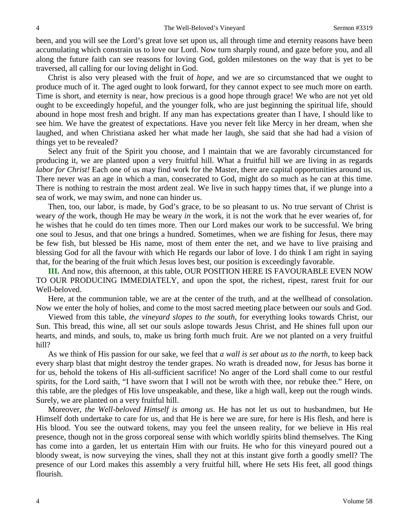been, and you will see the Lord's great love set upon us, all through time and eternity reasons have been accumulating which constrain us to love our Lord. Now turn sharply round, and gaze before you, and all along the future faith can see reasons for loving God, golden milestones on the way that is yet to be traversed, all calling for our loving delight in God.

Christ is also very pleased with the fruit of *hope,* and we are so circumstanced that we ought to produce much of it. The aged ought to look forward, for they cannot expect to see much more on earth. Time is short, and eternity is near, how precious is a good hope through grace! We who are not yet old ought to be exceedingly hopeful, and the younger folk, who are just beginning the spiritual life, should abound in hope most fresh and bright. If any man has expectations greater than I have, I should like to see him. We have the greatest of expectations. Have you never felt like Mercy in her dream, when she laughed, and when Christiana asked her what made her laugh, she said that she had had a vision of things yet to be revealed?

Select any fruit of the Spirit you choose, and I maintain that we are favorably circumstanced for producing it, we are planted upon a very fruitful hill. What a fruitful hill we are living in as regards *labor for Christ!* Each one of us may find work for the Master, there are capital opportunities around us. There never was an age in which a man, consecrated to God, might do so much as he can at this time. There is nothing to restrain the most ardent zeal. We live in such happy times that, if we plunge into a sea of work, we may swim, and none can hinder us.

Then, too, our labor, is made, by God's grace, to be so pleasant to us. No true servant of Christ is weary *of* the work, though He may be weary *in* the work, it is not the work that he ever wearies of, for he wishes that he could do ten times more. Then our Lord makes our work to be successful. We bring one soul to Jesus, and that one brings a hundred. Sometimes, when we are fishing for Jesus, there may be few fish, but blessed be His name, most of them enter the net, and we have to live praising and blessing God for all the favour with which He regards our labor of love. I do think I am right in saying that, for the bearing of the fruit which Jesus loves best, our position is exceedingly favorable.

**III.** And now, this afternoon, at this table, OUR POSITION HERE IS FAVOURABLE EVEN NOW TO OUR PRODUCING IMMEDIATELY, and upon the spot, the richest, ripest, rarest fruit for our Well-beloved.

Here, at the communion table, we are at the center of the truth, and at the wellhead of consolation. Now we enter the holy of holies, and come to the most sacred meeting place between our souls and God.

Viewed from this table, *the vineyard slopes to the south,* for everything looks towards Christ, our Sun. This bread, this wine, all set our souls aslope towards Jesus Christ, and He shines full upon our hearts, and minds, and souls, to, make us bring forth much fruit. Are we not planted on a very fruitful hill?

As we think of His passion for our sake, we feel that *a wall is set about us to the north,* to keep back every sharp blast that might destroy the tender grapes. No wrath is dreaded now, for Jesus has borne it for us, behold the tokens of His all-sufficient sacrifice! No anger of the Lord shall come to our restful spirits, for the Lord saith, "I have sworn that I will not be wroth with thee, nor rebuke thee." Here, on this table, are the pledges of His love unspeakable, and these, like a high wall, keep out the rough winds. Surely, we are planted on a very fruitful hill.

Moreover, *the Well-beloved Himself is among us*. He has not let us out to husbandmen, but He Himself doth undertake to care for us, and that He is here we are sure, for here is His flesh, and here is His blood. You see the outward tokens, may you feel the unseen reality, for we believe in His real presence, though not in the gross corporeal sense with which worldly spirits blind themselves. The King has come into a garden, let us entertain Him with our fruits. He who for this vineyard poured out a bloody sweat, is now surveying the vines, shall they not at this instant give forth a goodly smell? The presence of our Lord makes this assembly a very fruitful hill, where He sets His feet, all good things flourish.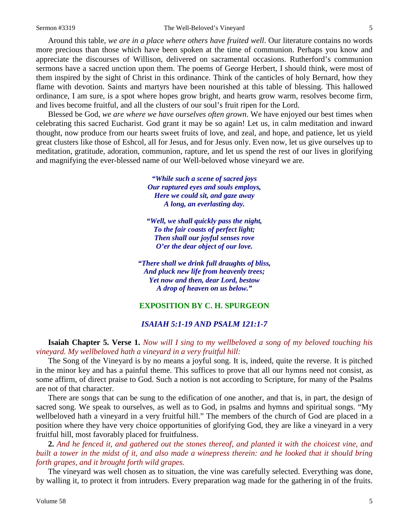Around this table, *we are in a place where others have fruited well*. Our literature contains no words more precious than those which have been spoken at the time of communion. Perhaps you know and appreciate the discourses of Willison, delivered on sacramental occasions. Rutherford's communion sermons have a sacred unction upon them. The poems of George Herbert, I should think, were most of them inspired by the sight of Christ in this ordinance. Think of the canticles of holy Bernard, how they flame with devotion. Saints and martyrs have been nourished at this table of blessing. This hallowed ordinance, I am sure, is a spot where hopes grow bright, and hearts grow warm, resolves become firm, and lives become fruitful, and all the clusters of our soul's fruit ripen for the Lord.

Blessed be God, *we are where we have ourselves often grown*. We have enjoyed our best times when celebrating this sacred Eucharist. God grant it may be so again! Let us, in calm meditation and inward thought, now produce from our hearts sweet fruits of love, and zeal, and hope, and patience, let us yield great clusters like those of Eshcol, all for Jesus, and for Jesus only. Even now, let us give ourselves up to meditation, gratitude, adoration, communion, rapture, and let us spend the rest of our lives in glorifying and magnifying the ever-blessed name of our Well-beloved whose vineyard we are.

> *"While such a scene of sacred joys Our raptured eyes and souls employs, Here we could sit, and gaze away A long, an everlasting day.*

> *"Well, we shall quickly pass the night, To the fair coasts of perfect light; Then shall our joyful senses rove O'er the dear object of our love.*

*"There shall we drink full draughts of bliss, And pluck new life from heavenly trees; Yet now and then, dear Lord, bestow A drop of heaven on us below."*

### **EXPOSITION BY C. H. SPURGEON**

### *ISAIAH 5:1-19 AND PSALM 121:1-7*

**Isaiah Chapter 5. Verse 1.** *Now will I sing to my wellbeloved a song of my beloved touching his vineyard. My wellbeloved hath a vineyard in a very fruitful hill:*

The Song of the Vineyard is by no means a joyful song. It is, indeed, quite the reverse. It is pitched in the minor key and has a painful theme. This suffices to prove that all our hymns need not consist, as some affirm, of direct praise to God. Such a notion is not according to Scripture, for many of the Psalms are not of that character.

There are songs that can be sung to the edification of one another, and that is, in part, the design of sacred song. We speak to ourselves, as well as to God, in psalms and hymns and spiritual songs. "My wellbeloved hath a vineyard in a very fruitful hill." The members of the church of God are placed in a position where they have very choice opportunities of glorifying God, they are like a vineyard in a very fruitful hill, most favorably placed for fruitfulness.

**2.** *And he fenced it, and gathered out the stones thereof, and planted it with the choicest vine, and built a tower in the midst of it, and also made a winepress therein: and he looked that it should bring forth grapes, and it brought forth wild grapes.*

The vineyard was well chosen as to situation, the vine was carefully selected. Everything was done, by walling it, to protect it from intruders. Every preparation wag made for the gathering in of the fruits.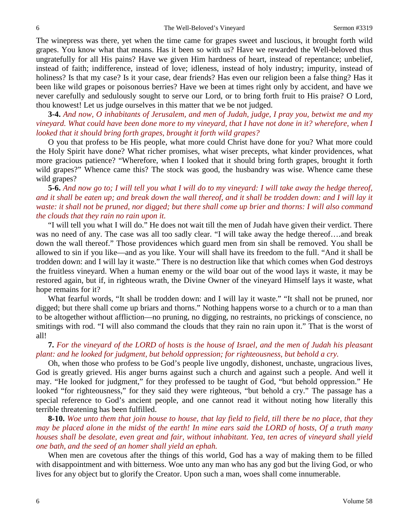The winepress was there, yet when the time came for grapes sweet and luscious, it brought forth wild grapes. You know what that means. Has it been so with us? Have we rewarded the Well-beloved thus ungratefully for all His pains? Have we given Him hardness of heart, instead of repentance; unbelief, instead of faith; indifference, instead of love; idleness, instead of holy industry; impurity, instead of holiness? Is that my case? Is it your case, dear friends? Has even our religion been a false thing? Has it been like wild grapes or poisonous berries? Have we been at times right only by accident, and have we never carefully and sedulously sought to serve our Lord, or to bring forth fruit to His praise? O Lord, thou knowest! Let us judge ourselves in this matter that we be not judged.

**3-4.** *And now, O inhabitants of Jerusalem, and men of Judah, judge, I pray you, betwixt me and my vineyard. What could have been done more to my vineyard, that I have not done in it? wherefore, when I looked that it should bring forth grapes, brought it forth wild grapes?*

O you that profess to be His people, what more could Christ have done for you? What more could the Holy Spirit have done? What richer promises, what wiser precepts, what kinder providences, what more gracious patience? "Wherefore, when I looked that it should bring forth grapes, brought it forth wild grapes?" Whence came this? The stock was good, the husbandry was wise. Whence came these wild grapes?

**5-6.** *And now go to; I will tell you what I will do to my vineyard: I will take away the hedge thereof, and it shall be eaten up; and break down the wall thereof, and it shall be trodden down: and I will lay it waste: it shall not be pruned, nor digged; but there shall come up brier and thorns: I will also command the clouds that they rain no rain upon it.*

"I will tell you what I will do." He does not wait till the men of Judah have given their verdict. There was no need of any. The case was all too sadly clear. "I will take away the hedge thereof....and break down the wall thereof." Those providences which guard men from sin shall be removed. You shall be allowed to sin if you like—and as you like. Your will shall have its freedom to the full. "And it shall be trodden down: and I will lay it waste." There is no destruction like that which comes when God destroys the fruitless vineyard. When a human enemy or the wild boar out of the wood lays it waste, it may be restored again, but if, in righteous wrath, the Divine Owner of the vineyard Himself lays it waste, what hope remains for it?

What fearful words, "It shall be trodden down: and I will lay it waste." "It shall not be pruned, nor digged; but there shall come up briars and thorns." Nothing happens worse to a church or to a man than to be altogether without affliction—no pruning, no digging, no restraints, no prickings of conscience, no smitings with rod. "I will also command the clouds that they rain no rain upon it." That is the worst of all!

**7.** *For the vineyard of the LORD of hosts is the house of Israel, and the men of Judah his pleasant plant: and he looked for judgment, but behold oppression; for righteousness, but behold a cry.*

Oh, when those who profess to be God's people live ungodly, dishonest, unchaste, ungracious lives, God is greatly grieved. His anger burns against such a church and against such a people. And well it may. "He looked for judgment," for they professed to be taught of God, "but behold oppression." He looked "for righteousness," for they said they were righteous, "but behold a cry." The passage has a special reference to God's ancient people, and one cannot read it without noting how literally this terrible threatening has been fulfilled.

**8-10.** *Woe unto them that join house to house, that lay field to field, till there be no place, that they may be placed alone in the midst of the earth! In mine ears said the LORD of hosts, Of a truth many houses shall be desolate, even great and fair, without inhabitant. Yea, ten acres of vineyard shall yield one bath, and the seed of an homer shall yield an ephah.*

When men are covetous after the things of this world, God has a way of making them to be filled with disappointment and with bitterness. Woe unto any man who has any god but the living God, or who lives for any object but to glorify the Creator. Upon such a man, woes shall come innumerable.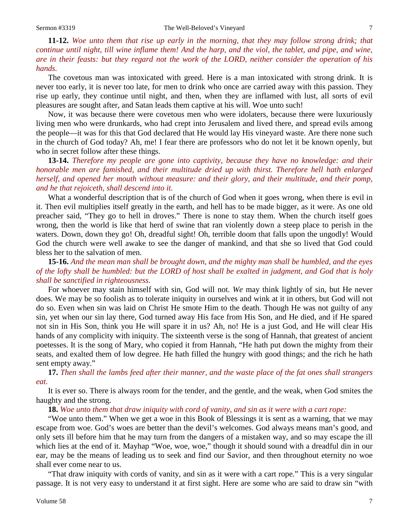**11-12.** *Woe unto them that rise up early in the morning, that they may follow strong drink; that continue until night, till wine inflame them! And the harp, and the viol, the tablet, and pipe, and wine, are in their feasts: but they regard not the work of the LORD, neither consider the operation of his hands.*

The covetous man was intoxicated with greed. Here is a man intoxicated with strong drink. It is never too early, it is never too late, for men to drink who once are carried away with this passion. They rise up early, they continue until night, and then, when they are inflamed with lust, all sorts of evil pleasures are sought after, and Satan leads them captive at his will. Woe unto such!

Now, it was because there were covetous men who were idolaters, because there were luxuriously living men who were drunkards, who had crept into Jerusalem and lived there, and spread evils among the people—it was for this that God declared that He would lay His vineyard waste. Are there none such in the church of God today? Ah, me! I fear there are professors who do not let it be known openly, but who in secret follow after these things.

**13-14.** *Therefore my people are gone into captivity, because they have no knowledge: and their honorable men are famished, and their multitude dried up with thirst. Therefore hell hath enlarged herself, and opened her mouth without measure: and their glory, and their multitude, and their pomp, and he that rejoiceth, shall descend into it.*

What a wonderful description that is of the church of God when it goes wrong, when there is evil in it. Then evil multiplies itself greatly in the earth, and hell has to be made bigger, as it were. As one old preacher said, "They go to hell in droves." There is none to stay them. When the church itself goes wrong, then the world is like that herd of swine that ran violently down a steep place to perish in the waters. Down, down they go! Oh, dreadful sight! Oh, terrible doom that falls upon the ungodly! Would God the church were well awake to see the danger of mankind, and that she so lived that God could bless her to the salvation of men.

**15-16.** *And the mean man shall be brought down, and the mighty man shall be humbled, and the eyes of the lofty shall be humbled: but the LORD of host shall be exalted in judgment, and God that is holy shall be sanctified in righteousness.*

For whoever may stain himself with sin, God will not. *We* may think lightly of sin, but He never does. We may be so foolish as to tolerate iniquity in ourselves and wink at it in others, but God will not do so. Even when sin was laid on Christ He smote Him to the death. Though He was not guilty of any sin, yet when our sin lay there, God turned away His face from His Son, and He died, and if He spared not sin in His Son, think you He will spare it in us? Ah, no! He is a just God, and He will clear His hands of any complicity with iniquity. The sixteenth verse is the song of Hannah, that greatest of ancient poetesses. It is the song of Mary, who copied it from Hannah, "He hath put down the mighty from their seats, and exalted them of low degree. He hath filled the hungry with good things; and the rich he hath sent empty away."

**17.** *Then shall the lambs feed after their manner, and the waste place of the fat ones shall strangers eat.*

It is ever so. There is always room for the tender, and the gentle, and the weak, when God smites the haughty and the strong.

**18.** *Woe unto them that draw iniquity with cord of vanity, and sin as it were with a cart rope:*

"Woe unto them." When we get a woe in this Book of Blessings it is sent as a warning, that we may escape from woe. God's woes are better than the devil's welcomes. God always means man's good, and only sets ill before him that he may turn from the dangers of a mistaken way, and so may escape the ill which lies at the end of it. Mayhap "Woe, woe, woe," though it should sound with a dreadful din in our ear, may be the means of leading us to seek and find our Savior, and then throughout eternity no woe shall ever come near to us.

"That draw iniquity with cords of vanity, and sin as it were with a cart rope." This is a very singular passage. It is not very easy to understand it at first sight. Here are some who are said to draw sin "with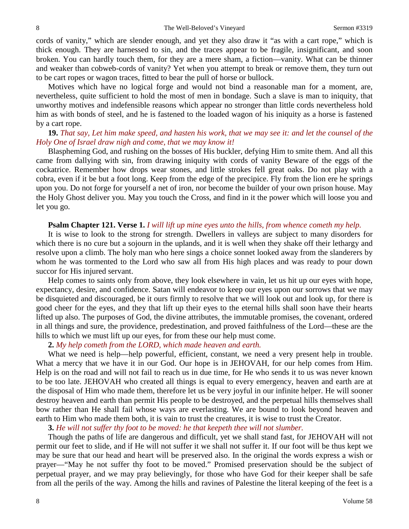cords of vanity," which are slender enough, and yet they also draw it "as with a cart rope," which is thick enough. They are harnessed to sin, and the traces appear to be fragile, insignificant, and soon broken. You can hardly touch them, for they are a mere sham, a fiction—vanity. What can be thinner and weaker than cobweb-cords of vanity? Yet when you attempt to break or remove them, they turn out to be cart ropes or wagon traces, fitted to bear the pull of horse or bullock.

Motives which have no logical forge and would not bind a reasonable man for a moment, are, nevertheless, quite sufficient to hold the most of men in bondage. Such a slave is man to iniquity, that unworthy motives and indefensible reasons which appear no stronger than little cords nevertheless hold him as with bonds of steel, and he is fastened to the loaded wagon of his iniquity as a horse is fastened by a cart rope.

### **19.** *That say, Let him make speed, and hasten his work, that we may see it: and let the counsel of the Holy One of Israel draw nigh and come, that we may know it!*

Blaspheming God, and rushing on the bosses of His buckler, defying Him to smite them. And all this came from dallying with sin, from drawing iniquity with cords of vanity Beware of the eggs of the cockatrice. Remember how drops wear stones, and little strokes fell great oaks. Do not play with a cobra, even if it be but a foot long. Keep from the edge of the precipice. Fly from the lion ere he springs upon you. Do not forge for yourself a net of iron, nor become the builder of your own prison house. May the Holy Ghost deliver you. May you touch the Cross, and find in it the power which will loose you and let you go.

#### **Psalm Chapter 121. Verse 1.** *I will lift up mine eyes unto the hills, from whence cometh my help.*

It is wise to look to the strong for strength. Dwellers in valleys are subject to many disorders for which there is no cure but a sojourn in the uplands, and it is well when they shake off their lethargy and resolve upon a climb. The holy man who here sings a choice sonnet looked away from the slanderers by whom he was tormented to the Lord who saw all from His high places and was ready to pour down succor for His injured servant.

Help comes to saints only from above, they look elsewhere in vain, let us hit up our eyes with hope, expectancy, desire, and confidence. Satan will endeavor to keep our eyes upon our sorrows that we may be disquieted and discouraged, be it ours firmly to resolve that we will look out and look up, for there is good cheer for the eyes, and they that lift up their eyes to the eternal hills shall soon have their hearts lifted up also. The purposes of God, the divine attributes, the immutable promises, the covenant, ordered in all things and sure, the providence, predestination, and proved faithfulness of the Lord—these are the hills to which we must lift up our eyes, for from these our help must come.

**2.** *My help cometh from the LORD, which made heaven and earth.*

What we need is help—help powerful, efficient, constant, we need a very present help in trouble. What a mercy that we have it in our God. Our hope is in JEHOVAH, for our help comes from Him. Help is on the road and will not fail to reach us in due time, for He who sends it to us was never known to be too late. JEHOVAH who created all things is equal to every emergency, heaven and earth are at the disposal of Him who made them, therefore let us be very joyful in our infinite helper. He will sooner destroy heaven and earth than permit His people to be destroyed, and the perpetual hills themselves shall bow rather than He shall fail whose ways are everlasting. We are bound to look beyond heaven and earth to Him who made them both, it is vain to trust the creatures, it is wise to trust the Creator.

**3.** *He will not suffer thy foot to be moved: he that keepeth thee will not slumber.*

Though the paths of life are dangerous and difficult, yet we shall stand fast, for JEHOVAH will not permit our feet to slide, and if He will not suffer it we shall not suffer it. If our foot will be thus kept we may be sure that our head and heart will be preserved also. In the original the words express a wish or prayer—"May he not suffer thy foot to be moved." Promised preservation should be the subject of perpetual prayer, and we may pray believingly, for those who have God for their keeper shall be safe from all the perils of the way. Among the hills and ravines of Palestine the literal keeping of the feet is a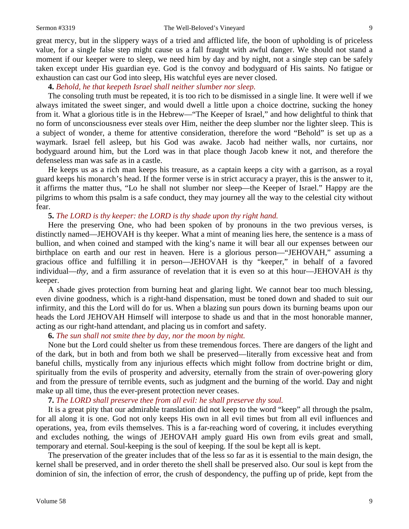#### Sermon #3319 The Well-Beloved's Vineyard 9

great mercy, but in the slippery ways of a tried and afflicted life, the boon of upholding is of priceless value, for a single false step might cause us a fall fraught with awful danger. We should not stand a moment if our keeper were to sleep, we need him by day and by night, not a single step can be safely taken except under His guardian eye. God is the convoy and bodyguard of His saints. No fatigue or exhaustion can cast our God into sleep, His watchful eyes are never closed.

#### **4.** *Behold, he that keepeth Israel shall neither slumber nor sleep.*

The consoling truth must be repeated, it is too rich to be dismissed in a single line. It were well if we always imitated the sweet singer, and would dwell a little upon a choice doctrine, sucking the honey from it. What a glorious title is in the Hebrew—"The Keeper of Israel," and how delightful to think that no form of unconsciousness ever steals over Him, neither the deep slumber nor the lighter sleep. This is a subject of wonder, a theme for attentive consideration, therefore the word "Behold" is set up as a waymark. Israel fell asleep, but his God was awake. Jacob had neither walls, nor curtains, nor bodyguard around him, but the Lord was in that place though Jacob knew it not, and therefore the defenseless man was safe as in a castle.

He keeps us as a rich man keeps his treasure, as a captain keeps a city with a garrison, as a royal guard keeps his monarch's head. If the former verse is in strict accuracy a prayer, this is the answer to it, it affirms the matter thus, "Lo he shall not slumber nor sleep—the Keeper of Israel." Happy are the pilgrims to whom this psalm is a safe conduct, they may journey all the way to the celestial city without fear.

### **5.** *The LORD is thy keeper: the LORD is thy shade upon thy right hand.*

Here the preserving One, who had been spoken of by pronouns in the two previous verses, is distinctly named—JEHOVAH is thy keeper. What a mint of meaning lies here, the sentence is a mass of bullion, and when coined and stamped with the king's name it will bear all our expenses between our birthplace on earth and our rest in heaven. Here is a glorious person—"JEHOVAH," assuming a gracious office and fulfilling it in person—JEHOVAH is thy "keeper," in behalf of a favored individual—*thy,* and a firm assurance of revelation that it is even so at this hour—JEHOVAH *is* thy keeper.

A shade gives protection from burning heat and glaring light. We cannot bear too much blessing, even divine goodness, which is a right-hand dispensation, must be toned down and shaded to suit our infirmity, and this the Lord will do for us. When a blazing sun pours down its burning beams upon our heads the Lord JEHOVAH Himself will interpose to shade us and that in the most honorable manner, acting as our right-hand attendant, and placing us in comfort and safety.

#### **6.** *The sun shall not smite thee by day, nor the moon by night.*

None but the Lord could shelter us from these tremendous forces. There are dangers of the light and of the dark, but in both and from both we shall be preserved—literally from excessive heat and from baneful chills, mystically from any injurious effects which might follow from doctrine bright or dim, spiritually from the evils of prosperity and adversity, eternally from the strain of over-powering glory and from the pressure of terrible events, such as judgment and the burning of the world. Day and night make up all time, thus the ever-present protection never ceases.

### **7.** *The LORD shall preserve thee from all evil: he shall preserve thy soul.*

It is a great pity that our admirable translation did not keep to the word "keep" all through the psalm, for all along it is one. God not only keeps His own in all evil times but from all evil influences and operations, yea, from evils themselves. This is a far-reaching word of covering, it includes everything and excludes nothing, the wings of JEHOVAH amply guard His own from evils great and small, temporary and eternal. Soul-keeping is the soul of keeping. If the soul be kept all is kept.

The preservation of the greater includes that of the less so far as it is essential to the main design, the kernel shall be preserved, and in order thereto the shell shall be preserved also. Our soul is kept from the dominion of sin, the infection of error, the crush of despondency, the puffing up of pride, kept from the